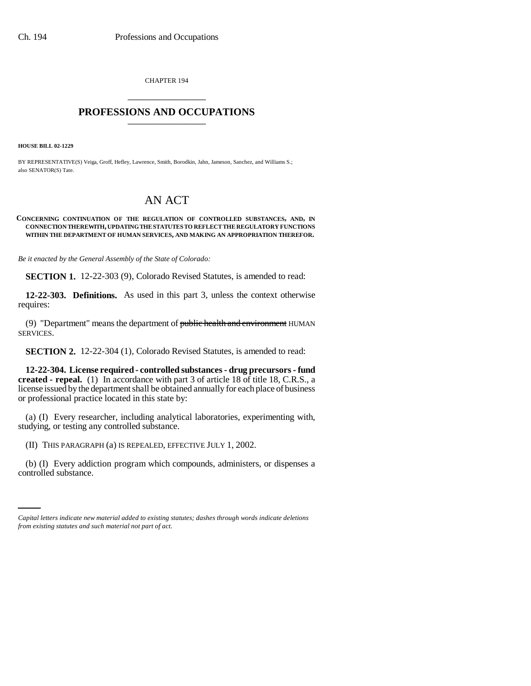CHAPTER 194 \_\_\_\_\_\_\_\_\_\_\_\_\_\_\_

## **PROFESSIONS AND OCCUPATIONS** \_\_\_\_\_\_\_\_\_\_\_\_\_\_\_

**HOUSE BILL 02-1229**

BY REPRESENTATIVE(S) Veiga, Groff, Hefley, Lawrence, Smith, Borodkin, Jahn, Jameson, Sanchez, and Williams S.; also SENATOR(S) Tate.

## AN ACT

## **CONCERNING CONTINUATION OF THE REGULATION OF CONTROLLED SUBSTANCES, AND, IN CONNECTION THEREWITH, UPDATING THE STATUTES TO REFLECT THE REGULATORY FUNCTIONS WITHIN THE DEPARTMENT OF HUMAN SERVICES, AND MAKING AN APPROPRIATION THEREFOR.**

*Be it enacted by the General Assembly of the State of Colorado:*

**SECTION 1.** 12-22-303 (9), Colorado Revised Statutes, is amended to read:

**12-22-303. Definitions.** As used in this part 3, unless the context otherwise requires:

(9) "Department" means the department of public health and environment HUMAN SERVICES.

**SECTION 2.** 12-22-304 (1), Colorado Revised Statutes, is amended to read:

**12-22-304. License required - controlled substances - drug precursors - fund created - repeal.** (1) In accordance with part 3 of article 18 of title 18, C.R.S., a license issued by the department shall be obtained annually for each place of business or professional practice located in this state by:

(a) (I) Every researcher, including analytical laboratories, experimenting with, studying, or testing any controlled substance.

(II) THIS PARAGRAPH (a) IS REPEALED, EFFECTIVE JULY 1, 2002.

(b) (I) Every addiction program which compounds, administers, or dispenses a controlled substance.

*Capital letters indicate new material added to existing statutes; dashes through words indicate deletions from existing statutes and such material not part of act.*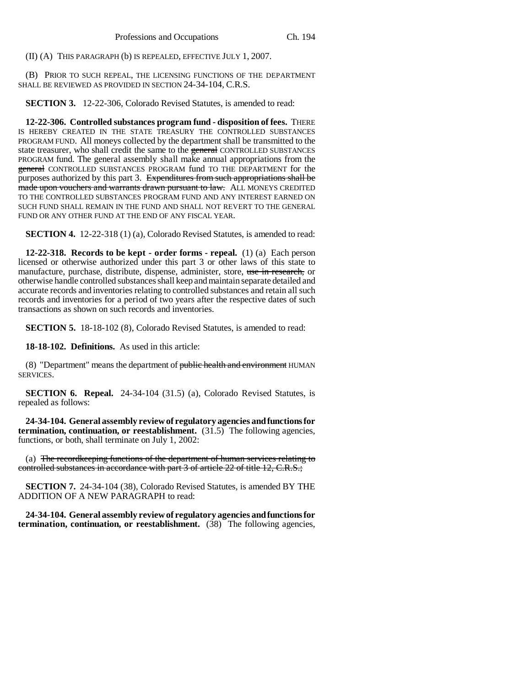(II) (A) THIS PARAGRAPH (b) IS REPEALED, EFFECTIVE JULY 1, 2007.

(B) PRIOR TO SUCH REPEAL, THE LICENSING FUNCTIONS OF THE DEPARTMENT SHALL BE REVIEWED AS PROVIDED IN SECTION 24-34-104, C.R.S.

**SECTION 3.** 12-22-306, Colorado Revised Statutes, is amended to read:

**12-22-306. Controlled substances program fund - disposition of fees.** THERE IS HEREBY CREATED IN THE STATE TREASURY THE CONTROLLED SUBSTANCES PROGRAM FUND. All moneys collected by the department shall be transmitted to the state treasurer, who shall credit the same to the general CONTROLLED SUBSTANCES PROGRAM fund. The general assembly shall make annual appropriations from the general CONTROLLED SUBSTANCES PROGRAM fund TO THE DEPARTMENT for the purposes authorized by this part 3. Expenditures from such appropriations shall be made upon vouchers and warrants drawn pursuant to law. ALL MONEYS CREDITED TO THE CONTROLLED SUBSTANCES PROGRAM FUND AND ANY INTEREST EARNED ON SUCH FUND SHALL REMAIN IN THE FUND AND SHALL NOT REVERT TO THE GENERAL FUND OR ANY OTHER FUND AT THE END OF ANY FISCAL YEAR.

**SECTION 4.** 12-22-318 (1) (a), Colorado Revised Statutes, is amended to read:

**12-22-318. Records to be kept - order forms - repeal.** (1) (a) Each person licensed or otherwise authorized under this part 3 or other laws of this state to manufacture, purchase, distribute, dispense, administer, store, use in research, or otherwise handle controlled substances shall keep and maintain separate detailed and accurate records and inventories relating to controlled substances and retain all such records and inventories for a period of two years after the respective dates of such transactions as shown on such records and inventories.

**SECTION 5.** 18-18-102 (8), Colorado Revised Statutes, is amended to read:

**18-18-102. Definitions.** As used in this article:

(8) "Department" means the department of public health and environment HUMAN SERVICES.

**SECTION 6. Repeal.** 24-34-104 (31.5) (a), Colorado Revised Statutes, is repealed as follows:

**24-34-104. General assembly review of regulatory agencies and functions for termination, continuation, or reestablishment.** (31.5) The following agencies, functions, or both, shall terminate on July 1, 2002:

(a) The recordkeeping functions of the department of human services relating to controlled substances in accordance with part 3 of article 22 of title 12, C.R.S.;

**SECTION 7.** 24-34-104 (38), Colorado Revised Statutes, is amended BY THE ADDITION OF A NEW PARAGRAPH to read:

**24-34-104. General assembly review of regulatory agencies and functions for termination, continuation, or reestablishment.** (38) The following agencies,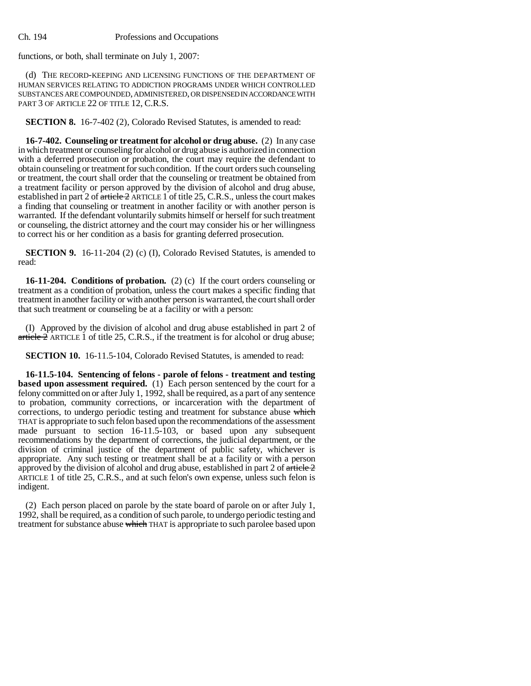functions, or both, shall terminate on July 1, 2007:

(d) THE RECORD-KEEPING AND LICENSING FUNCTIONS OF THE DEPARTMENT OF HUMAN SERVICES RELATING TO ADDICTION PROGRAMS UNDER WHICH CONTROLLED SUBSTANCES ARE COMPOUNDED, ADMINISTERED, OR DISPENSED IN ACCORDANCE WITH PART 3 OF ARTICLE 22 OF TITLE 12, C.R.S.

**SECTION 8.** 16-7-402 (2), Colorado Revised Statutes, is amended to read:

**16-7-402. Counseling or treatment for alcohol or drug abuse.** (2) In any case in which treatment or counseling for alcohol or drug abuse is authorized in connection with a deferred prosecution or probation, the court may require the defendant to obtain counseling or treatment for such condition. If the court orders such counseling or treatment, the court shall order that the counseling or treatment be obtained from a treatment facility or person approved by the division of alcohol and drug abuse, established in part 2 of article 2 ARTICLE 1 of title 25, C.R.S., unless the court makes a finding that counseling or treatment in another facility or with another person is warranted. If the defendant voluntarily submits himself or herself for such treatment or counseling, the district attorney and the court may consider his or her willingness to correct his or her condition as a basis for granting deferred prosecution.

**SECTION 9.** 16-11-204 (2) (c) (I), Colorado Revised Statutes, is amended to read:

**16-11-204. Conditions of probation.** (2) (c) If the court orders counseling or treatment as a condition of probation, unless the court makes a specific finding that treatment in another facility or with another person is warranted, the court shall order that such treatment or counseling be at a facility or with a person:

(I) Approved by the division of alcohol and drug abuse established in part 2 of article  $2$  ARTICLE 1 of title 25, C.R.S., if the treatment is for alcohol or drug abuse;

**SECTION 10.** 16-11.5-104, Colorado Revised Statutes, is amended to read:

**16-11.5-104. Sentencing of felons - parole of felons - treatment and testing based upon assessment required.** (1) Each person sentenced by the court for a felony committed on or after July 1, 1992, shall be required, as a part of any sentence to probation, community corrections, or incarceration with the department of corrections, to undergo periodic testing and treatment for substance abuse which THAT is appropriate to such felon based upon the recommendations of the assessment made pursuant to section 16-11.5-103, or based upon any subsequent recommendations by the department of corrections, the judicial department, or the division of criminal justice of the department of public safety, whichever is appropriate. Any such testing or treatment shall be at a facility or with a person approved by the division of alcohol and drug abuse, established in part 2 of  $\frac{\text{article}}{2}$ ARTICLE 1 of title 25, C.R.S., and at such felon's own expense, unless such felon is indigent.

(2) Each person placed on parole by the state board of parole on or after July 1, 1992, shall be required, as a condition of such parole, to undergo periodic testing and treatment for substance abuse which THAT is appropriate to such parolee based upon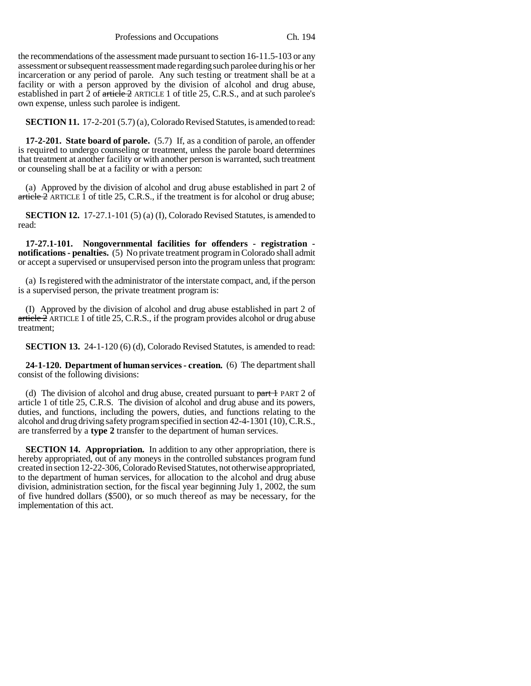the recommendations of the assessment made pursuant to section 16-11.5-103 or any assessment or subsequent reassessment made regarding such parolee during his or her incarceration or any period of parole. Any such testing or treatment shall be at a facility or with a person approved by the division of alcohol and drug abuse, established in part 2 of  $\alpha$  article 2 ARTICLE 1 of title 25, C.R.S., and at such parolee's own expense, unless such parolee is indigent.

**SECTION 11.** 17-2-201 (5.7) (a), Colorado Revised Statutes, is amended to read:

**17-2-201. State board of parole.** (5.7) If, as a condition of parole, an offender is required to undergo counseling or treatment, unless the parole board determines that treatment at another facility or with another person is warranted, such treatment or counseling shall be at a facility or with a person:

(a) Approved by the division of alcohol and drug abuse established in part 2 of article 2 ARTICLE 1 of title 25, C.R.S., if the treatment is for alcohol or drug abuse;

**SECTION 12.** 17-27.1-101 (5) (a) (I), Colorado Revised Statutes, is amended to read:

**17-27.1-101. Nongovernmental facilities for offenders - registration notifications - penalties.** (5) No private treatment program in Colorado shall admit or accept a supervised or unsupervised person into the program unless that program:

(a) Is registered with the administrator of the interstate compact, and, if the person is a supervised person, the private treatment program is:

(I) Approved by the division of alcohol and drug abuse established in part 2 of  $article 2$  ARTICLE 1 of title 25, C.R.S., if the program provides alcohol or drug abuse treatment;

**SECTION 13.** 24-1-120 (6) (d), Colorado Revised Statutes, is amended to read:

**24-1-120. Department of human services - creation.** (6) The department shall consist of the following divisions:

(d) The division of alcohol and drug abuse, created pursuant to  $part 1$  PART 2 of article 1 of title 25, C.R.S. The division of alcohol and drug abuse and its powers, duties, and functions, including the powers, duties, and functions relating to the alcohol and drug driving safety program specified in section 42-4-1301 (10), C.R.S., are transferred by a **type 2** transfer to the department of human services.

**SECTION 14. Appropriation.** In addition to any other appropriation, there is hereby appropriated, out of any moneys in the controlled substances program fund created in section 12-22-306, Colorado Revised Statutes, not otherwise appropriated, to the department of human services, for allocation to the alcohol and drug abuse division, administration section, for the fiscal year beginning July 1, 2002, the sum of five hundred dollars (\$500), or so much thereof as may be necessary, for the implementation of this act.